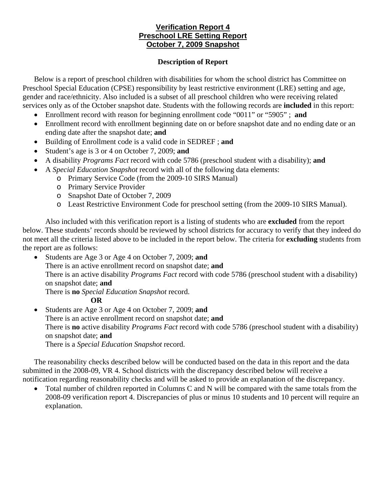## **Verification Report 4 Preschool LRE Setting Report October 7, 2009 Snapshot**

## **Description of Report**

Below is a report of preschool children with disabilities for whom the school district has Committee on Preschool Special Education (CPSE) responsibility by least restrictive environment (LRE) setting and age, gender and race/ethnicity. Also included is a subset of all preschool children who were receiving related services only as of the October snapshot date. Students with the following records are **included** in this report:

- Enrollment record with reason for beginning enrollment code "0011" or "5905" ; **and**
- Enrollment record with enrollment beginning date on or before snapshot date and no ending date or an ending date after the snapshot date; **and**
- Building of Enrollment code is a valid code in SEDREF ; **and**
- Student's age is 3 or 4 on October 7, 2009; **and**
- A disability *Programs Fact* record with code 5786 (preschool student with a disability); **and**
- A *Special Education Snapshot* record with all of the following data elements:
	- o Primary Service Code (from the 2009-10 SIRS Manual)
	- o Primary Service Provider
	- o Snapshot Date of October 7, 2009
	- o Least Restrictive Environment Code for preschool setting (from the 2009-10 SIRS Manual).

Also included with this verification report is a listing of students who are **excluded** from the report below. These students' records should be reviewed by school districts for accuracy to verify that they indeed do not meet all the criteria listed above to be included in the report below. The criteria for **excluding** students from the report are as follows:

• Students are Age 3 or Age 4 on October 7, 2009; **and** There is an active enrollment record on snapshot date; **and**  There is an active disability *Programs Fact* record with code 5786 (preschool student with a disability) on snapshot date; **and** There is **no** *Special Education Snapshot* record.

**OR** 

• Students are Age 3 or Age 4 on October 7, 2009; **and** There is an active enrollment record on snapshot date; **and** There is **no** active disability *Programs Fact* record with code 5786 (preschool student with a disability) on snapshot date; **and**  There is a *Special Education Snapshot* record.

The reasonability checks described below will be conducted based on the data in this report and the data submitted in the 2008-09, VR 4. School districts with the discrepancy described below will receive a notification regarding reasonability checks and will be asked to provide an explanation of the discrepancy.

• Total number of children reported in Columns C and N will be compared with the same totals from the 2008-09 verification report 4. Discrepancies of plus or minus 10 students and 10 percent will require an explanation.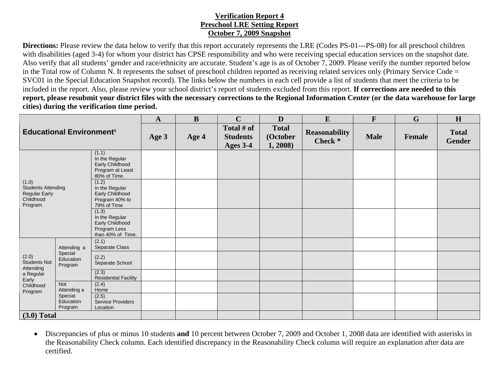## **Verification Report 4 Preschool LRE Setting Report October 7, 2009 Snapshot**

**Directions:** Please review the data below to verify that this report accurately represents the LRE (Codes PS-01---PS-08) for all preschool children with disabilities (aged 3-4) for whom your district has CPSE responsibility and who were receiving special education services on the snapshot date. Also verify that all students' gender and race/ethnicity are accurate. Student's age is as of October 7, 2009. Please verify the number reported below in the Total row of Column N. It represents the subset of preschool children reported as receiving related services only (Primary Service Code = SVC01 in the Special Education Snapshot record). The links below the numbers in each cell provide a list of students that meet the criteria to be included in the report. Also, please review your school district's report of students excluded from this report. **If corrections are needed to this report, please resubmit your district files with the necessary corrections to the Regional Information Center (or the data warehouse for large cities) during the verification time period.**

|                                                                                    |                                                              | $\mathbf{A}$                                                                    | B     | $\mathbf C$ | D                                         | $\bf{E}$                           | F                               | G           | H      |                               |
|------------------------------------------------------------------------------------|--------------------------------------------------------------|---------------------------------------------------------------------------------|-------|-------------|-------------------------------------------|------------------------------------|---------------------------------|-------------|--------|-------------------------------|
| <b>Educational Environment<sup>1</sup></b>                                         |                                                              |                                                                                 | Age 3 | Age 4       | Total # of<br><b>Students</b><br>Ages 3-4 | <b>Total</b><br>(October<br>1,2008 | <b>Reasonability</b><br>Check * | <b>Male</b> | Female | <b>Total</b><br><b>Gender</b> |
| (1.0)<br><b>Students Attending</b><br><b>Regular Early</b><br>Childhood<br>Program |                                                              | (1.1)<br>In the Regular<br>Early Childhood<br>Program at Least<br>80% of Time.  |       |             |                                           |                                    |                                 |             |        |                               |
|                                                                                    |                                                              | (1.2)<br>In the Regular<br>Early Childhood<br>Program 40% to<br>79% of Time     |       |             |                                           |                                    |                                 |             |        |                               |
|                                                                                    |                                                              | (1.3)<br>In the Regular<br>Early Childhood<br>Program Less<br>than 40% of Time. |       |             |                                           |                                    |                                 |             |        |                               |
| (2.0)<br>Students Not<br>Attending<br>a Regular<br>Early<br>Childhood<br>Program   | Attending a<br>Special<br>Education<br>Program               | (2.1)<br>Separate Class                                                         |       |             |                                           |                                    |                                 |             |        |                               |
|                                                                                    |                                                              | (2.2)<br>Separate School                                                        |       |             |                                           |                                    |                                 |             |        |                               |
|                                                                                    |                                                              | (2.3)<br><b>Residential Facility</b>                                            |       |             |                                           |                                    |                                 |             |        |                               |
|                                                                                    | <b>Not</b><br>Attending a<br>Special<br>Education<br>Program | (2.4)<br>Home                                                                   |       |             |                                           |                                    |                                 |             |        |                               |
|                                                                                    |                                                              | (2.5)<br><b>Service Providers</b><br>Location                                   |       |             |                                           |                                    |                                 |             |        |                               |
| $(3.0)$ Total                                                                      |                                                              |                                                                                 |       |             |                                           |                                    |                                 |             |        |                               |

 $\bullet$  Discrepancies of plus or minus 10 students **and** 10 percent between October 7, 2009 and October 1, 2008 data are identified with asterisks in the Reasonability Check column. Each identified discrepancy in the Reasonability Check column will require an explanation after data are certified.